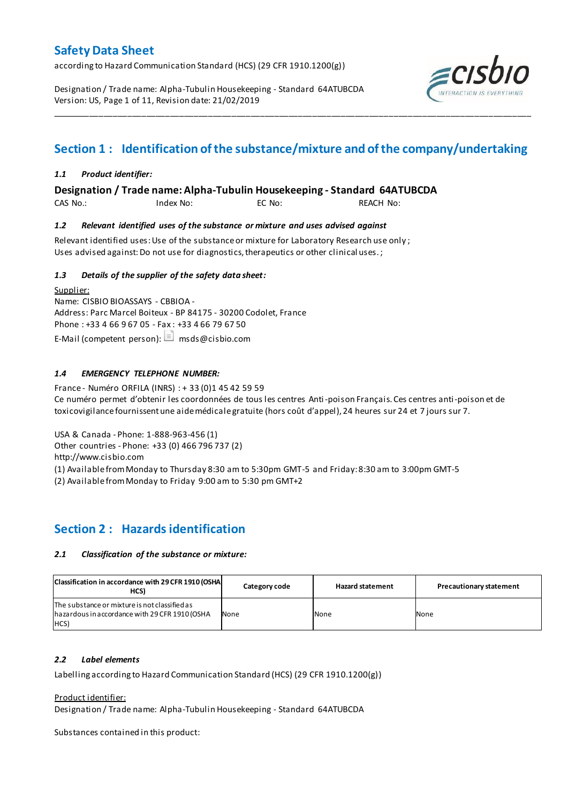according to Hazard Communication Standard (HCS) (29 CFR 1910.1200(g))

Designation / Trade name: Alpha-Tubulin Housekeeping - Standard 64ATUBCDA Version: US, Page 1 of 11, Revision date: 21/02/2019



# **Section 1 : Identification of the substance/mixture and of the company/undertaking**

\_\_\_\_\_\_\_\_\_\_\_\_\_\_\_\_\_\_\_\_\_\_\_\_\_\_\_\_\_\_\_\_\_\_\_\_\_\_\_\_\_\_\_\_\_\_\_\_\_\_\_\_\_\_\_\_\_\_\_\_\_\_\_\_\_\_\_\_\_\_\_\_\_\_\_\_\_\_\_\_\_\_\_\_\_\_\_\_\_\_\_\_\_\_\_\_\_\_\_\_\_

## *1.1 Product identifier:*

**Designation / Trade name: Alpha-Tubulin Housekeeping - Standard 64ATUBCDA** 

CAS No.: Index No: EC No: REACH No:

## *1.2 Relevant identified uses of the substance or mixture and uses advised against*

Relevant identified uses: Use of the substance or mixture for Laboratory Research use only ; Uses advised against: Do not use for diagnostics, therapeutics or other clinical uses.;

## *1.3 Details of the supplier of the safety data sheet:*

Supplier: Name: CISBIO BIOASSAYS - CBBIOA - Address: Parc Marcel Boiteux - BP 84175 - 30200 Codolet, France Phone : +33 4 66 9 67 05 - Fax : +33 4 66 79 67 50 E-Mail (competent person):  $\Box$  msds@cisbio.com

## *1.4 EMERGENCY TELEPHONE NUMBER:*

France - Numéro ORFILA (INRS) : + 33 (0)1 45 42 59 59 Ce numéro permet d'obtenir les coordonnées de tous les centres Anti-poison Français. Ces centres anti-poison et de toxicovigilance fournissent une aide médicale gratuite (hors coût d'appel), 24 heures sur 24 et 7 jours sur 7.

USA & Canada - Phone: 1-888-963-456 (1) Other countries - Phone: +33 (0) 466 796 737 (2)

http://www.cisbio.com

(1) Available from Monday to Thursday 8:30 am to 5:30pm GMT-5 and Friday: 8:30 am to 3:00pm GMT-5

(2) Available from Monday to Friday 9:00 am to 5:30 pm GMT+2

## **Section 2 : Hazards identification**

## *2.1 Classification of the substance or mixture:*

| Classification in accordance with 29 CFR 1910 (OSHA<br>HCS)                                             | Category code | <b>Hazard statement</b> | <b>Precautionary statement</b> |
|---------------------------------------------------------------------------------------------------------|---------------|-------------------------|--------------------------------|
| The substance or mixture is not classified as<br>hazardous in accordance with 29 CFR 1910 (OSHA<br>HCS) | None          | None                    | None                           |

## *2.2 Label elements*

Labelling according to Hazard Communication Standard (HCS) (29 CFR 1910.1200(g))

Product identifier:

Designation / Trade name: Alpha-Tubulin Housekeeping - Standard 64ATUBCDA

Substances contained in this product: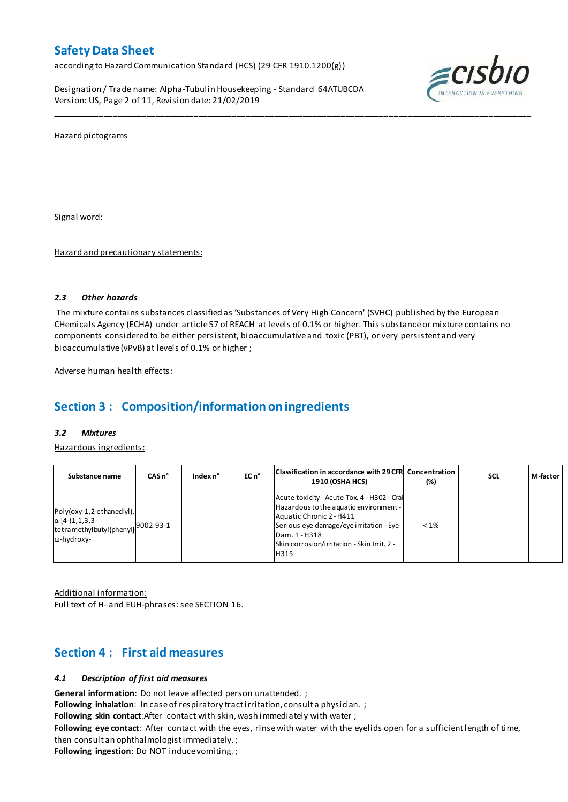according to Hazard Communication Standard (HCS) (29 CFR 1910.1200(g))

Designation / Trade name: Alpha-Tubulin Housekeeping - Standard 64ATUBCDA Version: US, Page 2 of 11, Revision date: 21/02/2019



Hazard pictograms

Signal word:

Hazard and precautionary statements:

## *2.3 Other hazards*

The mixture contains substances classified as 'Substances of Very High Concern' (SVHC) published by the European CHemicals Agency (ECHA) under article 57 of REACH at levels of 0.1% or higher. This substance or mixture contains no components considered to be either persistent, bioaccumulative and toxic (PBT), or very persistent and very bioaccumulative (vPvB) at levels of 0.1% or higher ;

\_\_\_\_\_\_\_\_\_\_\_\_\_\_\_\_\_\_\_\_\_\_\_\_\_\_\_\_\_\_\_\_\_\_\_\_\_\_\_\_\_\_\_\_\_\_\_\_\_\_\_\_\_\_\_\_\_\_\_\_\_\_\_\_\_\_\_\_\_\_\_\_\_\_\_\_\_\_\_\_\_\_\_\_\_\_\_\_\_\_\_\_\_\_\_\_\_\_\_\_\_

Adverse human health effects:

# **Section 3 : Composition/information on ingredients**

## *3.2 Mixtures*

Hazardous ingredients:

| Substance name                                                                                                      | $CASn^{\circ}$ | Index n° | EC n <sup>o</sup> | Classification in accordance with 29 CFR Concentration<br><b>1910 (OSHA HCS)</b>                                                                                                                                                     | $(\%)$  | <b>SCL</b> | M-factor |
|---------------------------------------------------------------------------------------------------------------------|----------------|----------|-------------------|--------------------------------------------------------------------------------------------------------------------------------------------------------------------------------------------------------------------------------------|---------|------------|----------|
| Poly(oxy-1,2-ethanediyl),<br>$\alpha$ -[4-(1,1,3,3-<br>Itetramethylbutyl)phenyll <sup>9002-93-1</sup><br>ω-hydroxy- |                |          |                   | Acute toxicity - Acute Tox. 4 - H302 - Oral<br>Hazardous to the aquatic environment -<br>Aquatic Chronic 2 - H411<br>Serious eye damage/eye irritation - Eye<br>Dam. 1 - H318<br>Skin corrosion/irritation - Skin Irrit. 2 -<br>H315 | $< 1\%$ |            |          |

Additional information: Full text of H- and EUH-phrases: see SECTION 16.

## **Section 4 : First aid measures**

## *4.1 Description of first aid measures*

**General information**: Do not leave affected person unattended. ;

Following inhalation: In case of respiratory tractirritation, consult a physician. ;

**Following skin contact**:After contact with skin, wash immediately with water ;

**Following eye contact**: After contact with the eyes, rinse with water with the eyelids open for a sufficient length of time, then consult an ophthalmologist immediately. ;

**Following ingestion**: Do NOT induce vomiting. ;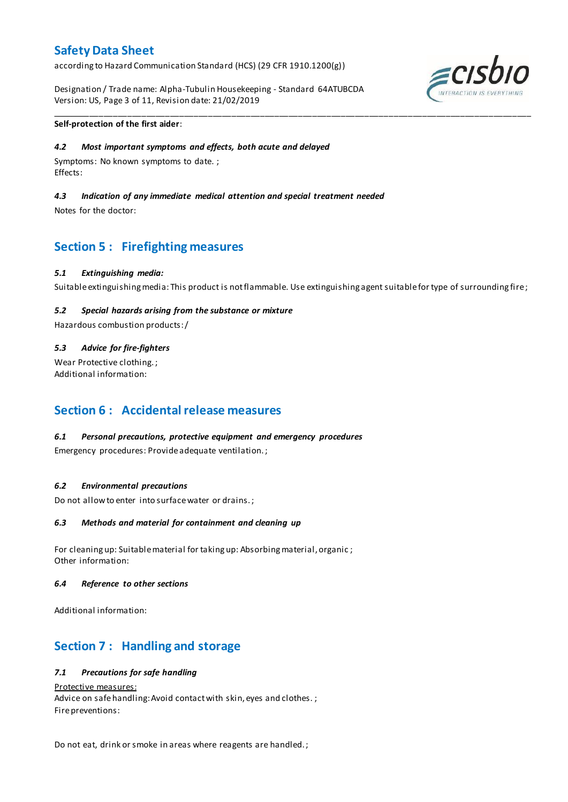according to Hazard Communication Standard (HCS) (29 CFR 1910.1200(g))

Designation / Trade name: Alpha-Tubulin Housekeeping - Standard 64ATUBCDA Version: US, Page 3 of 11, Revision date: 21/02/2019



## **Self-protection of the first aider**:

## *4.2 Most important symptoms and effects, both acute and delayed*

Symptoms: No known symptoms to date. ; Effects:

## *4.3 Indication of any immediate medical attention and special treatment needed*

Notes for the doctor:

## **Section 5 : Firefighting measures**

#### *5.1 Extinguishing media:*

Suitable extinguishing media: This product is not flammable. Use extinguishing agent suitable for type of surrounding fire ;

\_\_\_\_\_\_\_\_\_\_\_\_\_\_\_\_\_\_\_\_\_\_\_\_\_\_\_\_\_\_\_\_\_\_\_\_\_\_\_\_\_\_\_\_\_\_\_\_\_\_\_\_\_\_\_\_\_\_\_\_\_\_\_\_\_\_\_\_\_\_\_\_\_\_\_\_\_\_\_\_\_\_\_\_\_\_\_\_\_\_\_\_\_\_\_\_\_\_\_\_\_

## *5.2 Special hazards arising from the substance or mixture*

Hazardous combustion products:/

## *5.3 Advice for fire-fighters*

Wear Protective clothing.; Additional information:

## **Section 6 : Accidental release measures**

## *6.1 Personal precautions, protective equipment and emergency procedures*

Emergency procedures: Provide adequate ventilation. ;

#### *6.2 Environmental precautions*

Do not allow to enter into surface water or drains. ;

## *6.3 Methods and material for containment and cleaning up*

For cleaning up: Suitable material for taking up: Absorbing material, organic ; Other information:

#### *6.4 Reference to other sections*

Additional information:

## **Section 7 : Handling and storage**

## *7.1 Precautions for safe handling*

Protective measures:

Advice on safe handling: Avoid contact with skin, eyes and clothes.; Fire preventions:

Do not eat, drink or smoke in areas where reagents are handled. ;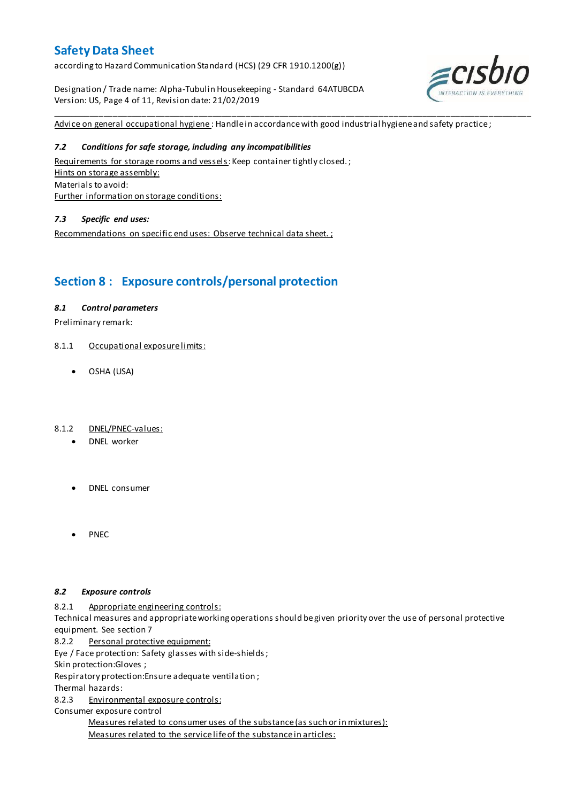according to Hazard Communication Standard (HCS) (29 CFR 1910.1200(g))

Designation / Trade name: Alpha-Tubulin Housekeeping - Standard 64ATUBCDA Version: US, Page 4 of 11, Revision date: 21/02/2019



Advice on general occupational hygiene: Handle in accordance with good industrial hygiene and safety practice;

\_\_\_\_\_\_\_\_\_\_\_\_\_\_\_\_\_\_\_\_\_\_\_\_\_\_\_\_\_\_\_\_\_\_\_\_\_\_\_\_\_\_\_\_\_\_\_\_\_\_\_\_\_\_\_\_\_\_\_\_\_\_\_\_\_\_\_\_\_\_\_\_\_\_\_\_\_\_\_\_\_\_\_\_\_\_\_\_\_\_\_\_\_\_\_\_\_\_\_\_\_

## *7.2 Conditions for safe storage, including any incompatibilities*

Requirements for storage rooms and vessels: Keep container tightly closed.; Hints on storage assembly: Materials to avoid: Further information on storage conditions:

## *7.3 Specific end uses:*

Recommendations on specific end uses: Observe technical data sheet. ;

## **Section 8 : Exposure controls/personal protection**

## *8.1 Control parameters*

Preliminary remark:

- 8.1.1 Occupational exposure limits:
	- OSHA (USA)

## 8.1.2 DNEL/PNEC-values:

- DNEL worker
- DNEL consumer
- PNEC

## *8.2 Exposure controls*

8.2.1 Appropriate engineering controls:

Technical measures and appropriate working operations should be given priority over the use of personal protective equipment. See section 7

8.2.2 Personal protective equipment:

Eye / Face protection: Safety glasses with side-shields ;

Skin protection:Gloves ;

Respiratory protection:Ensure adequate ventilation ;

Thermal hazards:

8.2.3 Environmental exposure controls:

Consumer exposure control

Measures related to consumer uses of the substance (as such or in mixtures): Measures related to the service life of the substance in articles: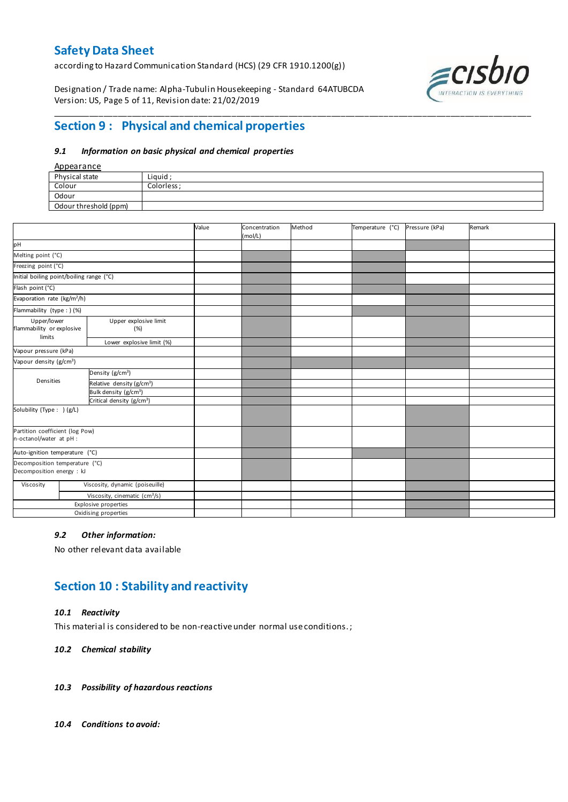according to Hazard Communication Standard (HCS) (29 CFR 1910.1200(g))

Designation / Trade name: Alpha-Tubulin Housekeeping - Standard 64ATUBCDA Version: US, Page 5 of 11, Revision date: 21/02/2019



## **Section 9 : Physical and chemical properties**

### *9.1 Information on basic physical and chemical properties*

## Appearance

| Physical state        | Liquid :    |
|-----------------------|-------------|
| Colour                | Colorless · |
| Odour                 |             |
| Odour threshold (ppm) |             |

\_\_\_\_\_\_\_\_\_\_\_\_\_\_\_\_\_\_\_\_\_\_\_\_\_\_\_\_\_\_\_\_\_\_\_\_\_\_\_\_\_\_\_\_\_\_\_\_\_\_\_\_\_\_\_\_\_\_\_\_\_\_\_\_\_\_\_\_\_\_\_\_\_\_\_\_\_\_\_\_\_\_\_\_\_\_\_\_\_\_\_\_\_\_\_\_\_\_\_\_\_

|                                                             |                                           | Value | Concentration<br>(mol/L) | Method | Temperature (°C) | Pressure (kPa) | Remark |
|-------------------------------------------------------------|-------------------------------------------|-------|--------------------------|--------|------------------|----------------|--------|
| pH                                                          |                                           |       |                          |        |                  |                |        |
| Melting point (°C)                                          |                                           |       |                          |        |                  |                |        |
| Freezing point (°C)                                         |                                           |       |                          |        |                  |                |        |
| Initial boiling point/boiling range (°C)                    |                                           |       |                          |        |                  |                |        |
| Flash point (°C)                                            |                                           |       |                          |        |                  |                |        |
| Evaporation rate (kg/m <sup>2</sup> /h)                     |                                           |       |                          |        |                  |                |        |
| Flammability (type : ) (%)                                  |                                           |       |                          |        |                  |                |        |
| Upper/lower<br>flammability or explosive<br>limits          | Upper explosive limit<br>(%)              |       |                          |        |                  |                |        |
|                                                             | Lower explosive limit (%)                 |       |                          |        |                  |                |        |
| Vapour pressure (kPa)                                       |                                           |       |                          |        |                  |                |        |
| Vapour density (g/cm <sup>3</sup> )                         |                                           |       |                          |        |                  |                |        |
|                                                             | Density (g/cm <sup>3</sup> )              |       |                          |        |                  |                |        |
| Densities                                                   | Relative density (g/cm <sup>3</sup> )     |       |                          |        |                  |                |        |
|                                                             | Bulk density (g/cm <sup>3</sup> )         |       |                          |        |                  |                |        |
|                                                             | Critical density (g/cm <sup>3</sup> )     |       |                          |        |                  |                |        |
| Solubility (Type: ) (g/L)                                   |                                           |       |                          |        |                  |                |        |
| Partition coefficient (log Pow)<br>n-octanol/water at pH :  |                                           |       |                          |        |                  |                |        |
| Auto-ignition temperature (°C)                              |                                           |       |                          |        |                  |                |        |
| Decomposition temperature (°C)<br>Decomposition energy : kJ |                                           |       |                          |        |                  |                |        |
| Viscosity                                                   | Viscosity, dynamic (poiseuille)           |       |                          |        |                  |                |        |
|                                                             | Viscosity, cinematic (cm <sup>3</sup> /s) |       |                          |        |                  |                |        |
|                                                             | Explosive properties                      |       |                          |        |                  |                |        |
|                                                             | Oxidising properties                      |       |                          |        |                  |                |        |

## *9.2 Other information:*

No other relevant data available

## **Section 10 : Stability and reactivity**

## *10.1 Reactivity*

This material is considered to be non-reactive under normal use conditions. ;

#### *10.2 Chemical stability*

- *10.3 Possibility of hazardous reactions*
- *10.4 Conditions to avoid:*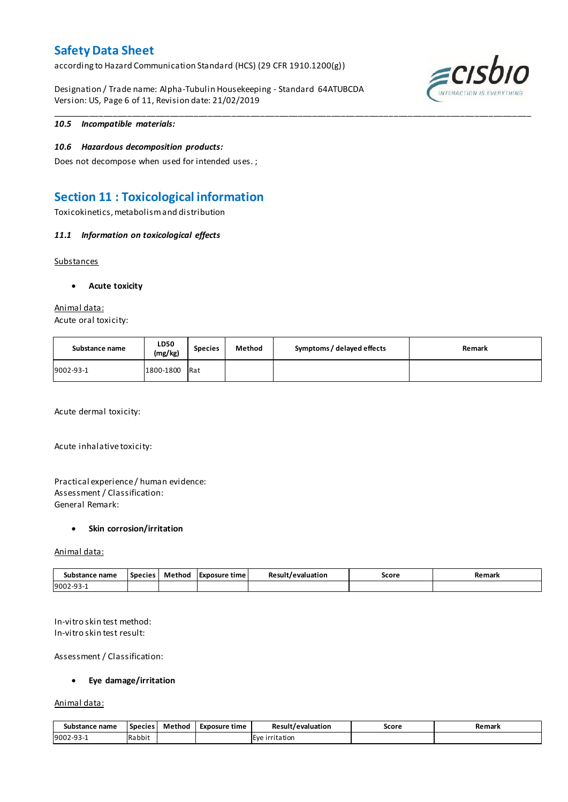according to Hazard Communication Standard (HCS) (29 CFR 1910.1200(g))

Designation / Trade name: Alpha-Tubulin Housekeeping - Standard 64ATUBCDA Version: US, Page 6 of 11, Revision date: 21/02/2019



## *10.5 Incompatible materials:*

### *10.6 Hazardous decomposition products:*

Does not decompose when used for intended uses. ;

## **Section 11 : Toxicological information**

Toxicokinetics, metabolism and distribution

### *11.1 Information on toxicological effects*

**Substances** 

### **Acute toxicity**

## Animal data:

Acute oral toxicity:

| Substance name | <b>LD50</b><br>(mg/kg) | <b>Species</b> | Method | Symptoms / delayed effects | Remark |
|----------------|------------------------|----------------|--------|----------------------------|--------|
| 9002-93-1      | 1800-1800              | Rat            |        |                            |        |

\_\_\_\_\_\_\_\_\_\_\_\_\_\_\_\_\_\_\_\_\_\_\_\_\_\_\_\_\_\_\_\_\_\_\_\_\_\_\_\_\_\_\_\_\_\_\_\_\_\_\_\_\_\_\_\_\_\_\_\_\_\_\_\_\_\_\_\_\_\_\_\_\_\_\_\_\_\_\_\_\_\_\_\_\_\_\_\_\_\_\_\_\_\_\_\_\_\_\_\_\_

Acute dermal toxicity:

Acute inhalative toxicity:

## Practical experience / human evidence: Assessment / Classification: General Remark:

#### **Skin corrosion/irritation**

#### Animal data:

| Substance name | <b>Species</b> | Method | TExposure time | Result/evaluation | Score | Remark |
|----------------|----------------|--------|----------------|-------------------|-------|--------|
| 9002-93-1      |                |        |                |                   |       |        |

In-vitro skin test method: In-vitro skin test result:

Assessment / Classification:

#### **Eye damage/irritation**

Animal data:

| Substance name | <b>Species</b> | Method | Exposure time | Result/evaluation        | Score | Remark |
|----------------|----------------|--------|---------------|--------------------------|-------|--------|
| 9002-93-       | Rabbit         |        |               | <b>Eve</b><br>irritation |       |        |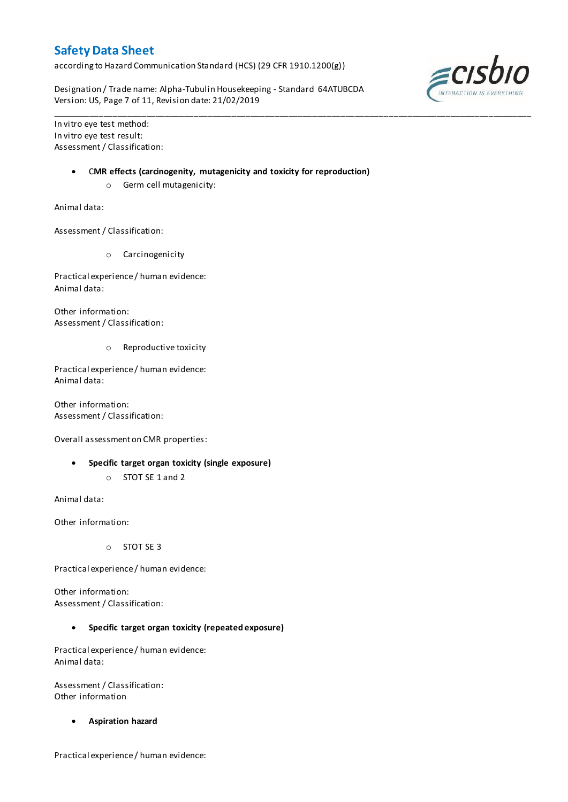according to Hazard Communication Standard (HCS) (29 CFR 1910.1200(g))

Designation / Trade name: Alpha-Tubulin Housekeeping - Standard 64ATUBCDA Version: US, Page 7 of 11, Revision date: 21/02/2019

In vitro eye test method: In vitro eye test result: Assessment / Classification:

C**MR effects (carcinogenity, mutagenicity and toxicity for reproduction)**

\_\_\_\_\_\_\_\_\_\_\_\_\_\_\_\_\_\_\_\_\_\_\_\_\_\_\_\_\_\_\_\_\_\_\_\_\_\_\_\_\_\_\_\_\_\_\_\_\_\_\_\_\_\_\_\_\_\_\_\_\_\_\_\_\_\_\_\_\_\_\_\_\_\_\_\_\_\_\_\_\_\_\_\_\_\_\_\_\_\_\_\_\_\_\_\_\_\_\_\_\_

o Germ cell mutagenicity:

Animal data:

Assessment / Classification:

o Carcinogenicity

Practical experience / human evidence: Animal data:

Other information: Assessment / Classification:

o Reproductive toxicity

Practical experience / human evidence: Animal data:

Other information: Assessment / Classification:

Overall assessment on CMR properties:

- **Specific target organ toxicity (single exposure)**
	- o STOT SE 1 and 2

Animal data:

Other information:

o STOT SE 3

Practical experience / human evidence:

Other information: Assessment / Classification:

**Specific target organ toxicity (repeated exposure)**

Practical experience / human evidence: Animal data:

Assessment / Classification: Other information

**Aspiration hazard**

Practical experience / human evidence:

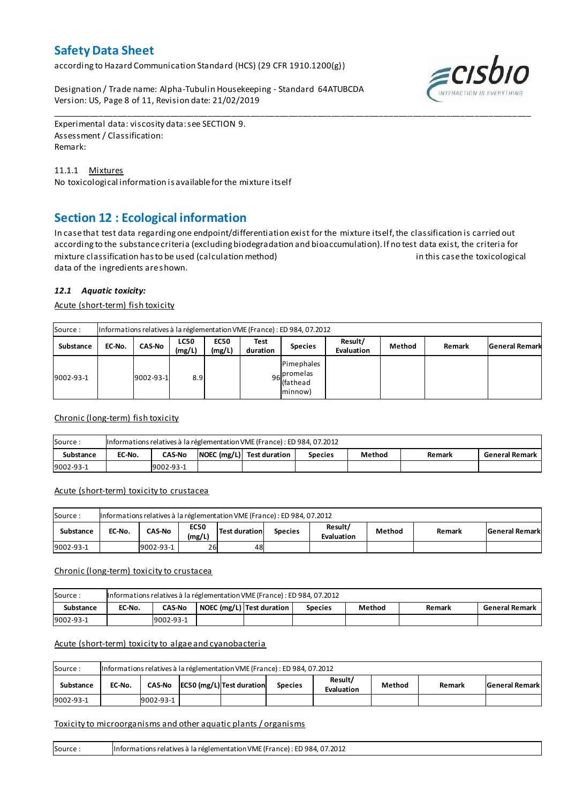according to Hazard Communication Standard (HCS) (29 CFR 1910.1200(g))

Designation / Trade name: Alpha-Tubulin Housekeeping - Standard 64ATUBCDA Version: US, Page 8 of 11, Revision date: 21/02/2019



Experimental data: viscosity data: see SECTION 9. Assessment / Classification: Remark:

## 11.1.1 Mixtures

No toxicological information is available for the mixture itself

## **Section 12 : Ecological information**

In case that test data regarding one endpoint/differentiation exist for the mixture itself, the classification is carried out according to the substance criteria (excluding biodegradation and bioaccumulation). If no test data exist, the criteria for mixture classification has to be used (calculation method) in this case the toxicological data of the ingredients are shown.

\_\_\_\_\_\_\_\_\_\_\_\_\_\_\_\_\_\_\_\_\_\_\_\_\_\_\_\_\_\_\_\_\_\_\_\_\_\_\_\_\_\_\_\_\_\_\_\_\_\_\_\_\_\_\_\_\_\_\_\_\_\_\_\_\_\_\_\_\_\_\_\_\_\_\_\_\_\_\_\_\_\_\_\_\_\_\_\_\_\_\_\_\_\_\_\_\_\_\_\_\_

## *12.1 Aquatic toxicity:*

Acute (short-term) fish toxicity

| Source:          | Informations relatives à la réglementation VME (France) : ED 984, 07.2012 |                 |                       |                       |                  |                                                    |                       |        |        |                       |  |  |  |
|------------------|---------------------------------------------------------------------------|-----------------|-----------------------|-----------------------|------------------|----------------------------------------------------|-----------------------|--------|--------|-----------------------|--|--|--|
| <b>Substance</b> | EC-No.                                                                    | <b>CAS-No</b>   | <b>LC50</b><br>(mg/L) | <b>EC50</b><br>(mg/L) | Test<br>duration | <b>Species</b>                                     | Result/<br>Evaluation | Method | Remark | <b>General Remark</b> |  |  |  |
| 9002-93-1        |                                                                           | $9002 - 93 - 1$ | 8.9                   |                       |                  | Pimephales<br>$96$ promelas<br>lfathead<br>minnow) |                       |        |        |                       |  |  |  |

## Chronic (long-term) fish toxicity

| Source:          | Informations relatives à la réglementation VME (France) : ED 984, 07.2012 |                                                                                                    |  |  |  |  |  |  |  |  |  |  |
|------------------|---------------------------------------------------------------------------|----------------------------------------------------------------------------------------------------|--|--|--|--|--|--|--|--|--|--|
| <b>Substance</b> | EC-No.                                                                    | NOEC (mg/L) Test duration<br>Method<br>General Remark<br><b>CAS-No</b><br><b>Species</b><br>Remark |  |  |  |  |  |  |  |  |  |  |
| 9002-93-1        |                                                                           | 9002-93-1                                                                                          |  |  |  |  |  |  |  |  |  |  |

## Acute (short-term) toxicity to crustacea

| Informations relatives à la réglementation VME (France) : ED 984, 07.2012<br>Source:                                                          |  |           |    |    |  |  |  |  |                       |  |  |
|-----------------------------------------------------------------------------------------------------------------------------------------------|--|-----------|----|----|--|--|--|--|-----------------------|--|--|
| Result/<br><b>EC50</b><br>Test duration<br><b>CAS-No</b><br>Method<br>EC-No.<br>Substance<br>Remark<br><b>Species</b><br>(mg/L)<br>Evaluation |  |           |    |    |  |  |  |  | <b>General Remark</b> |  |  |
| 9002-93-1                                                                                                                                     |  | 9002-93-1 | 26 | 48 |  |  |  |  |                       |  |  |

## Chronic (long-term) toxicity to crustacea

| Source:          | Informations relatives à la réglementation VME (France) : ED 984, 07.2012 |                                                                                                    |  |  |  |  |  |  |  |  |  |  |
|------------------|---------------------------------------------------------------------------|----------------------------------------------------------------------------------------------------|--|--|--|--|--|--|--|--|--|--|
| <b>Substance</b> | EC-No.                                                                    | NOEC (mg/L) Test duration<br>Method<br><b>CAS-No</b><br>General Remark<br><b>Species</b><br>Remark |  |  |  |  |  |  |  |  |  |  |
| 9002-93-1        |                                                                           | 9002-93-1                                                                                          |  |  |  |  |  |  |  |  |  |  |

## Acute (short-term) toxicity to algae and cyanobacteria

| Source:                                                                                                                      | Informations relatives à la réglementation VME (France) : ED 984, 07.2012 |           |  |  |  |  |  |                       |  |  |  |
|------------------------------------------------------------------------------------------------------------------------------|---------------------------------------------------------------------------|-----------|--|--|--|--|--|-----------------------|--|--|--|
| Result/<br>$CAS-No$ $ EC50 (mg/L) $ Test duration<br>Method<br>Substance<br>EC-No.<br>Remark<br><b>Species</b><br>Evaluation |                                                                           |           |  |  |  |  |  | <b>General Remark</b> |  |  |  |
| 9002-93-1                                                                                                                    |                                                                           | 9002-93-1 |  |  |  |  |  |                       |  |  |  |

## Toxicity to microorganisms and other aquatic plants / organisms

| 'nformations relatives à la réglementation VME (France) : ED 984, 07.2012<br>Source |  |
|-------------------------------------------------------------------------------------|--|
|-------------------------------------------------------------------------------------|--|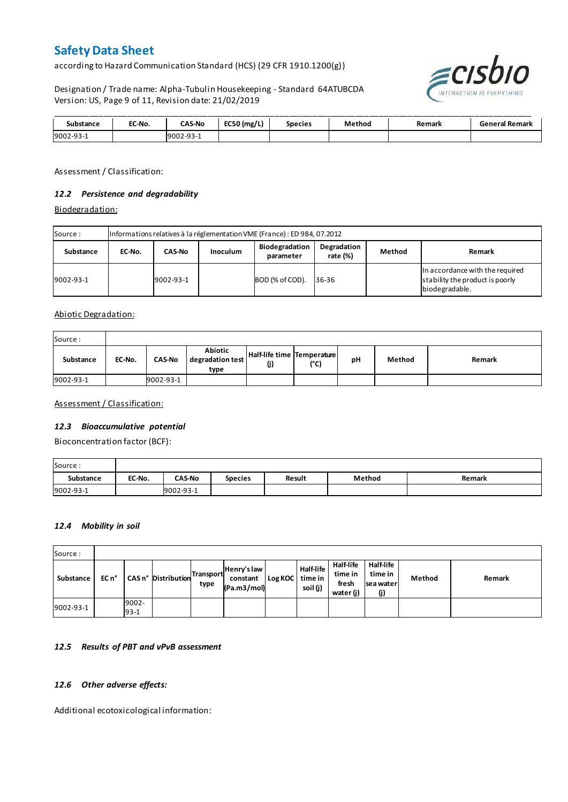according to Hazard Communication Standard (HCS) (29 CFR 1910.1200(g))

Designation / Trade name: Alpha-Tubulin Housekeeping - Standard 64ATUBCDA Version: US, Page 9 of 11, Revision date: 21/02/2019



| Substance | EC-No. | <b>CAS-No</b> | EC50 (mg/L) | Species | Method | Remark | <b>General Remark</b> |
|-----------|--------|---------------|-------------|---------|--------|--------|-----------------------|
| 9002-93-1 |        | 9002-93-1     |             |         |        |        |                       |

Assessment / Classification:

## *12.2 Persistence and degradability*

Biodegradation:

| Source:   | Informations relatives à la réglementation VME (France) : ED 984, 07.2012 |               |                 |                             |                         |        |                                                                                      |  |  |  |
|-----------|---------------------------------------------------------------------------|---------------|-----------------|-----------------------------|-------------------------|--------|--------------------------------------------------------------------------------------|--|--|--|
| Substance | EC-No.                                                                    | <b>CAS-No</b> | <b>Inoculum</b> | Biodegradation<br>parameter | Degradation<br>rate (%) | Method | Remark                                                                               |  |  |  |
| 9002-93-1 |                                                                           | 9002-93-1     |                 | BOD (% of COD).             | 36-36                   |        | In accordance with the required<br>stability the product is poorly<br>biodegradable. |  |  |  |

Abiotic Degradation:

| Source:   |        |               |                                     |                                   |      |    |        |        |
|-----------|--------|---------------|-------------------------------------|-----------------------------------|------|----|--------|--------|
| Substance | EC-No. | <b>CAS-No</b> | Abiotic<br>degradation test<br>type | Half-life time Temperature<br>(j) | (°C) | рH | Method | Remark |
| 9002-93-1 |        | 9002-93-1     |                                     |                                   |      |    |        |        |

Assessment / Classification:

## *12.3 Bioaccumulative potential*

Bioconcentration factor (BCF):

| Source:   |        |               |                |               |        |        |
|-----------|--------|---------------|----------------|---------------|--------|--------|
| Substance | EC-No. | <b>CAS-No</b> | <b>Species</b> | <b>Result</b> | Method | Remark |
| 9002-93-1 |        | 9002-93-1     |                |               |        |        |

#### *12.4 Mobility in soil*

| Source:   |       |                 |                                     |      |                                        |         |                                  |                                                   |                                                 |        |        |
|-----------|-------|-----------------|-------------------------------------|------|----------------------------------------|---------|----------------------------------|---------------------------------------------------|-------------------------------------------------|--------|--------|
| Substance | EC n° |                 | I CAS n° Distribution Transport co. | type | Henry's law<br>constant<br>(Pa.m3/mol) | Log KOC | Half-life<br>time in<br>soil (j) | <b>Half-life</b><br>time in<br>fresh<br>water (j) | <b>Half-life</b><br>time in<br>sea water<br>(j) | Method | Remark |
| 9002-93-1 |       | 9002-<br>$93-1$ |                                     |      |                                        |         |                                  |                                                   |                                                 |        |        |

## *12.5 Results of PBT and vPvB assessment*

## *12.6 Other adverse effects:*

Additional ecotoxicological information: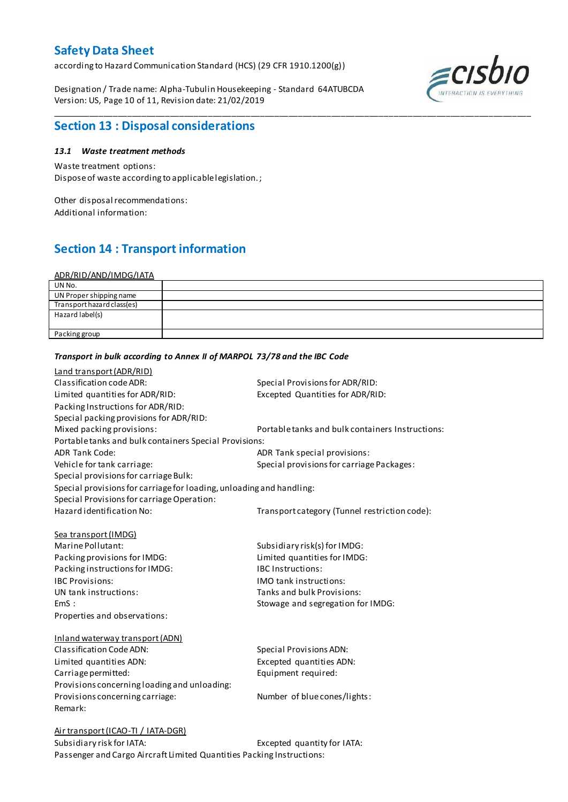according to Hazard Communication Standard (HCS) (29 CFR 1910.1200(g))

Designation / Trade name: Alpha-Tubulin Housekeeping - Standard 64ATUBCDA Version: US, Page 10 of 11, Revision date: 21/02/2019



## **Section 13 : Disposal considerations**

## *13.1 Waste treatment methods*

Waste treatment options: Dispose of waste according to applicable legislation. ;

Other disposal recommendations: Additional information:

# **Section 14 : Transport information**

| <u>ADR/RID/AND/IMDG/IATA</u> |  |
|------------------------------|--|
| UN No.                       |  |
| UN Proper shipping name      |  |
| Transport hazard class(es)   |  |
| Hazard label(s)              |  |
|                              |  |
| Packing group                |  |
|                              |  |

\_\_\_\_\_\_\_\_\_\_\_\_\_\_\_\_\_\_\_\_\_\_\_\_\_\_\_\_\_\_\_\_\_\_\_\_\_\_\_\_\_\_\_\_\_\_\_\_\_\_\_\_\_\_\_\_\_\_\_\_\_\_\_\_\_\_\_\_\_\_\_\_\_\_\_\_\_\_\_\_\_\_\_\_\_\_\_\_\_\_\_\_\_\_\_\_\_\_\_\_\_

| <b>Land transport (ADR/RID)</b>                                      |                                                  |
|----------------------------------------------------------------------|--------------------------------------------------|
| Classification code ADR:                                             | Special Provisions for ADR/RID:                  |
| Limited quantities for ADR/RID:                                      | Excepted Quantities for ADR/RID:                 |
| Packing Instructions for ADR/RID:                                    |                                                  |
| Special packing provisions for ADR/RID:                              |                                                  |
| Mixed packing provisions:                                            | Portable tanks and bulk containers Instructions: |
| Portable tanks and bulk containers Special Provisions:               |                                                  |
| <b>ADR Tank Code:</b>                                                | ADR Tank special provisions:                     |
| Vehicle for tank carriage:                                           | Special provisions for carriage Packages:        |
| Special provisions for carriage Bulk:                                |                                                  |
| Special provisions for carriage for loading, unloading and handling: |                                                  |
| Special Provisions for carriage Operation:                           |                                                  |
| Hazard identification No:                                            | Transport category (Tunnel restriction code):    |
|                                                                      |                                                  |
| Sea transport (IMDG)                                                 |                                                  |
| Marine Pollutant:                                                    | Subsidiary risk(s) for IMDG:                     |
| Packing provisions for IMDG:                                         | Limited quantities for IMDG:                     |
| Packing instructions for IMDG:                                       | <b>IBC Instructions:</b>                         |
| <b>IBC Provisions:</b>                                               | IMO tank instructions:                           |
| UN tank instructions:                                                | Tanks and bulk Provisions:                       |
| EmS:                                                                 | Stowage and segregation for IMDG:                |
| Properties and observations:                                         |                                                  |
|                                                                      |                                                  |
| Inland waterway transport (ADN)                                      |                                                  |
| Classification Code ADN:                                             | Special Provisions ADN:                          |
| Limited quantities ADN:                                              | Excepted quantities ADN:                         |
| Carriage permitted:                                                  | Equipment required:                              |
| Provisions concerning loading and unloading:                         |                                                  |
| Provisions concerning carriage:                                      | Number of blue cones/lights:                     |
| Remark:                                                              |                                                  |
|                                                                      |                                                  |
| Air transport (ICAO-TI / IATA-DGR)                                   |                                                  |
| Subsidiary risk for IATA:                                            | Excepted quantity for IATA:                      |

*Transport in bulk according to Annex II of MARPOL 73/78 and the IBC Code*

Passenger and Cargo Aircraft Limited Quantities Packing Instructions: